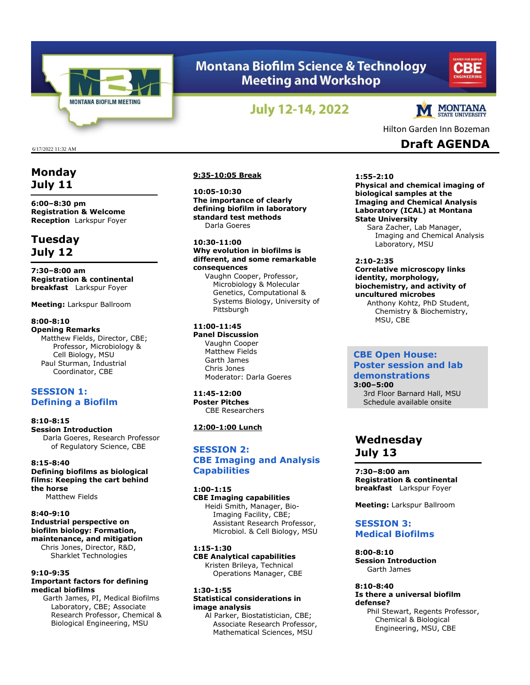

# **Montana Biofilm Science & Technology Meeting and Workshop**



# **July 12-14, 2022**



Hilton Garden Inn Bozeman

6/17/2022 11:32 AM **Draft AGENDA**

# **Monday July 11**

**6:00–8:30 pm Registration & Welcome Reception** Larkspur Foyer

# **Tuesday July 12**

**7:30–8:00 am Registration & continental breakfast** Larkspur Foyer

**Meeting:** Larkspur Ballroom

# **8:00-8:10**

**Opening Remarks** Matthew Fields, Director, CBE; Professor, Microbiology & Cell Biology, MSU Paul Sturman, Industrial Coordinator, CBE

# **SESSION 1: Defining a Biofilm**

**8:10-8:15 Session Introduction** Darla Goeres, Research Professor of Regulatory Science, CBE

## **8:15-8:40 Defining biofilms as biological films: Keeping the cart behind the horse**

Matthew Fields

# **8:40-9:10 Industrial perspective on biofilm biology: Formation,**

**maintenance, and mitigation**  Chris Jones, Director, R&D, Sharklet Technologies

## **9:10-9:35 Important factors for defining medical biofilms**

Garth James, PI, Medical Biofilms Laboratory, CBE; Associate Research Professor, Chemical & Biological Engineering, MSU

## **9:35-10:05 Break**

**10:05-10:30 The importance of clearly defining biofilm in laboratory standard test methods** Darla Goeres

## **10:30-11:00**

**Why evolution in biofilms is different, and some remarkable consequences** Vaughn Cooper, Professor,

Microbiology & Molecular Genetics, Computational & Systems Biology, University of Pittsburgh

## **11:00-11:45**

**Panel Discussion** Vaughn Cooper Matthew Fields Garth James Chris Jones Moderator: Darla Goeres

**11:45-12:00 Poster Pitches** CBE Researchers

## **12:00-1:00 Lunch**

# **SESSION 2: CBE Imaging and Analysis Capabilities**

# **1:00-1:15**

**CBE Imaging capabilities**  Heidi Smith, Manager, Bio-Imaging Facility, CBE; Assistant Research Professor, Microbiol. & Cell Biology, MSU

**1:15-1:30 CBE Analytical capabilities**  Kristen Brileya, Technical Operations Manager, CBE

## **1:30-1:55 Statistical considerations in image analysis**

Al Parker, Biostatistician, CBE; Associate Research Professor, Mathematical Sciences, MSU

**1:55-2:10**

**Physical and chemical imaging of biological samples at the Imaging and Chemical Analysis Laboratory (ICAL) at Montana State University**

Sara Zacher, Lab Manager, Imaging and Chemical Analysis Laboratory, MSU

# **2:10-2:35**

#### **Correlative microscopy links identity, morphology, biochemistry, and activity of uncultured microbes** Anthony Kohtz, PhD Student,

Chemistry & Biochemistry, MSU, CBE

## **CBE Open House: Poster session and lab demonstrations**

**3:00–5:00** 3rd Floor Barnard Hall, MSU Schedule available onsite

# **Wednesday July 13**

**7:30–8:00 am Registration & continental breakfast** Larkspur Foyer

**Meeting:** Larkspur Ballroom

# **SESSION 3: Medical Biofilms**

**8:00-8:10 Session Introduction** Garth James

### **8:10-8:40 Is there a universal biofilm defense?**

Phil Stewart, Regents Professor, Chemical & Biological Engineering, MSU, CBE